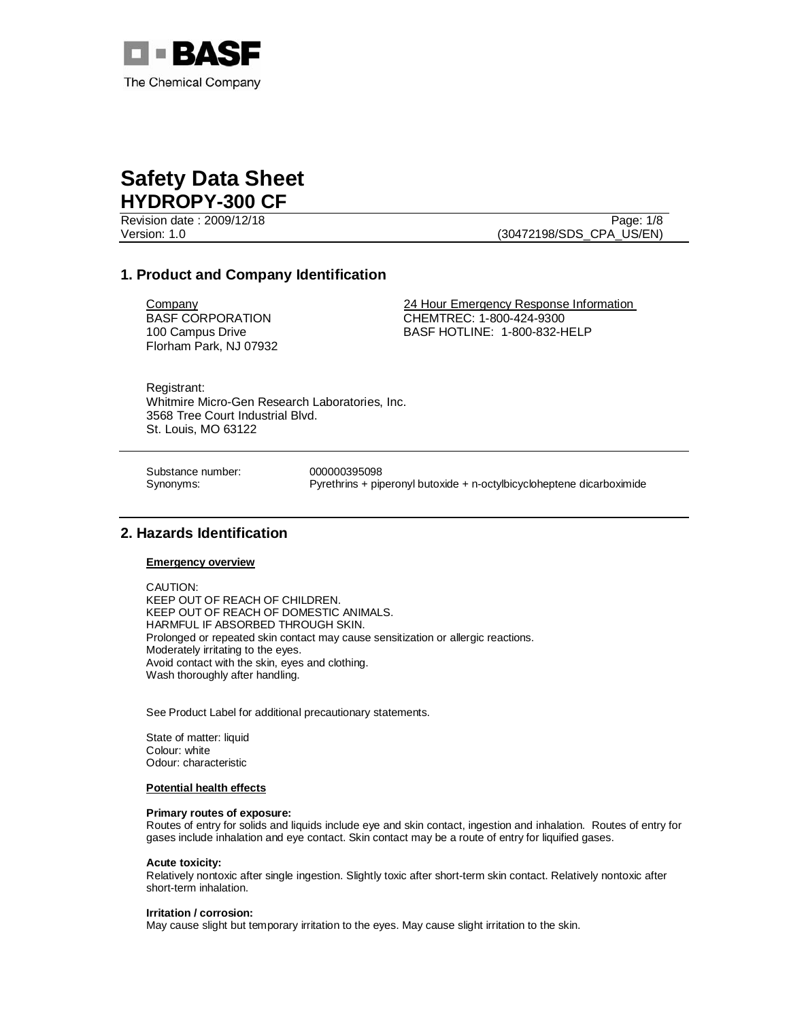

Revision date : 2009/12/18 Page: 1/8 Version: 1.0 (30472198/SDS\_CPA\_US/EN)

# **1. Product and Company Identification**

BASF CORPORATION 100 Campus Drive Florham Park, NJ 07932

**Company 24 Hour Emergency Response Information** CHEMTREC: 1-800-424-9300 BASF HOTLINE: 1-800-832-HELP

Registrant: Whitmire Micro-Gen Research Laboratories, Inc. 3568 Tree Court Industrial Blvd. St. Louis, MO 63122

Substance number: 000000395098

Synonyms: Pyrethrins + piperonyl butoxide + n-octylbicycloheptene dicarboximide

# **2. Hazards Identification**

**Emergency overview**

CAUTION: KEEP OUT OF REACH OF CHILDREN. KEEP OUT OF REACH OF DOMESTIC ANIMALS. HARMFUL IF ABSORBED THROUGH SKIN. Prolonged or repeated skin contact may cause sensitization or allergic reactions. Moderately irritating to the eyes. Avoid contact with the skin, eyes and clothing. Wash thoroughly after handling.

See Product Label for additional precautionary statements.

State of matter: liquid Colour: white Odour: characteristic

#### **Potential health effects**

#### **Primary routes of exposure:**

Routes of entry for solids and liquids include eye and skin contact, ingestion and inhalation. Routes of entry for gases include inhalation and eye contact. Skin contact may be a route of entry for liquified gases.

#### **Acute toxicity:**

Relatively nontoxic after single ingestion. Slightly toxic after short-term skin contact. Relatively nontoxic after short-term inhalation.

### **Irritation / corrosion:**

May cause slight but temporary irritation to the eyes. May cause slight irritation to the skin.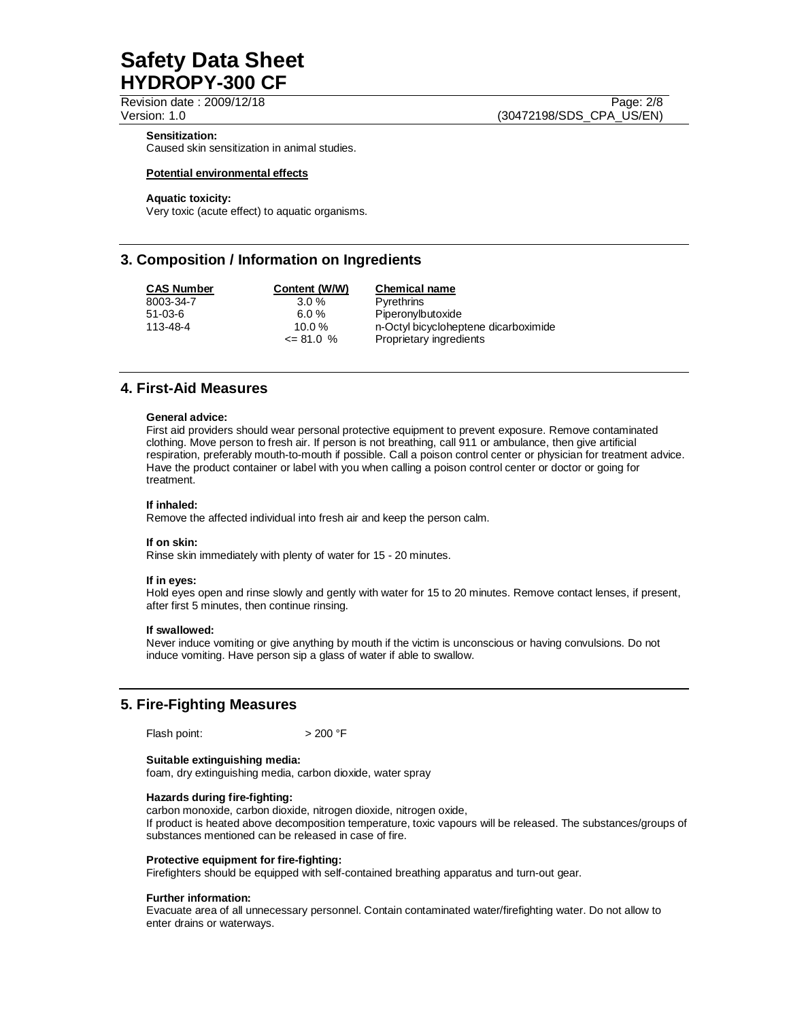Revision date : 2009/12/18 Page: 2/8

Version: 1.0 (30472198/SDS\_CPA\_US/EN)

## **Sensitization:**

Caused skin sensitization in animal studies.

## **Potential environmental effects**

# **Aquatic toxicity:**

Very toxic (acute effect) to aquatic organisms.

# **3. Composition / Information on Ingredients**

| <b>CAS Number</b> | Content (W/W) | <b>Chemical name</b>                 |
|-------------------|---------------|--------------------------------------|
| 8003-34-7         | $3.0 \%$      | Pyrethrins                           |
| $51-03-6$         | 6.0 %         | Piperonylbutoxide                    |
| 113-48-4          | $10.0\%$      | n-Octyl bicycloheptene dicarboximide |
|                   | $\leq$ 81.0 % | Proprietary ingredients              |

# **4. First-Aid Measures**

#### **General advice:**

First aid providers should wear personal protective equipment to prevent exposure. Remove contaminated clothing. Move person to fresh air. If person is not breathing, call 911 or ambulance, then give artificial respiration, preferably mouth-to-mouth if possible. Call a poison control center or physician for treatment advice. Have the product container or label with you when calling a poison control center or doctor or going for treatment.

### **If inhaled:**

Remove the affected individual into fresh air and keep the person calm.

#### **If on skin:**

Rinse skin immediately with plenty of water for 15 - 20 minutes.

### **If in eyes:**

Hold eyes open and rinse slowly and gently with water for 15 to 20 minutes. Remove contact lenses, if present, after first 5 minutes, then continue rinsing.

## **If swallowed:**

Never induce vomiting or give anything by mouth if the victim is unconscious or having convulsions. Do not induce vomiting. Have person sip a glass of water if able to swallow.

# **5. Fire-Fighting Measures**

Flash point:  $> 200 °F$ 

# **Suitable extinguishing media:**

foam, dry extinguishing media, carbon dioxide, water spray

#### **Hazards during fire-fighting:**

carbon monoxide, carbon dioxide, nitrogen dioxide, nitrogen oxide, If product is heated above decomposition temperature, toxic vapours will be released. The substances/groups of substances mentioned can be released in case of fire.

#### **Protective equipment for fire-fighting:**

Firefighters should be equipped with self-contained breathing apparatus and turn-out gear.

### **Further information:**

Evacuate area of all unnecessary personnel. Contain contaminated water/firefighting water. Do not allow to enter drains or waterways.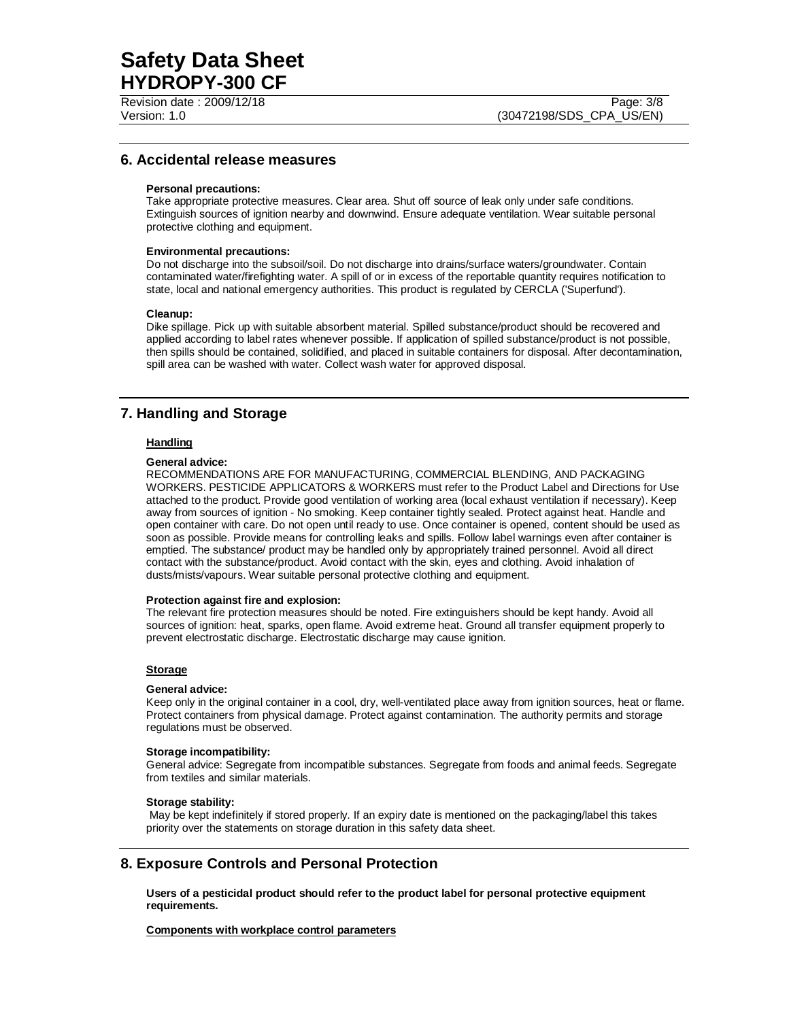Revision date : 2009/12/18 Page: 3/8

# **6. Accidental release measures**

#### **Personal precautions:**

Take appropriate protective measures. Clear area. Shut off source of leak only under safe conditions. Extinguish sources of ignition nearby and downwind. Ensure adequate ventilation. Wear suitable personal protective clothing and equipment.

#### **Environmental precautions:**

Do not discharge into the subsoil/soil. Do not discharge into drains/surface waters/groundwater. Contain contaminated water/firefighting water. A spill of or in excess of the reportable quantity requires notification to state, local and national emergency authorities. This product is regulated by CERCLA ('Superfund').

#### **Cleanup:**

Dike spillage. Pick up with suitable absorbent material. Spilled substance/product should be recovered and applied according to label rates whenever possible. If application of spilled substance/product is not possible, then spills should be contained, solidified, and placed in suitable containers for disposal. After decontamination, spill area can be washed with water. Collect wash water for approved disposal.

# **7. Handling and Storage**

## **Handling**

### **General advice:**

RECOMMENDATIONS ARE FOR MANUFACTURING, COMMERCIAL BLENDING, AND PACKAGING WORKERS. PESTICIDE APPLICATORS & WORKERS must refer to the Product Label and Directions for Use attached to the product. Provide good ventilation of working area (local exhaust ventilation if necessary). Keep away from sources of ignition - No smoking. Keep container tightly sealed. Protect against heat. Handle and open container with care. Do not open until ready to use. Once container is opened, content should be used as soon as possible. Provide means for controlling leaks and spills. Follow label warnings even after container is emptied. The substance/ product may be handled only by appropriately trained personnel. Avoid all direct contact with the substance/product. Avoid contact with the skin, eyes and clothing. Avoid inhalation of dusts/mists/vapours. Wear suitable personal protective clothing and equipment.

#### **Protection against fire and explosion:**

The relevant fire protection measures should be noted. Fire extinguishers should be kept handy. Avoid all sources of ignition: heat, sparks, open flame. Avoid extreme heat. Ground all transfer equipment properly to prevent electrostatic discharge. Electrostatic discharge may cause ignition.

## **Storage**

#### **General advice:**

Keep only in the original container in a cool, dry, well-ventilated place away from ignition sources, heat or flame. Protect containers from physical damage. Protect against contamination. The authority permits and storage regulations must be observed.

#### **Storage incompatibility:**

General advice: Segregate from incompatible substances. Segregate from foods and animal feeds. Segregate from textiles and similar materials.

#### **Storage stability:**

 May be kept indefinitely if stored properly. If an expiry date is mentioned on the packaging/label this takes priority over the statements on storage duration in this safety data sheet.

# **8. Exposure Controls and Personal Protection**

**Users of a pesticidal product should refer to the product label for personal protective equipment requirements.** 

#### **Components with workplace control parameters**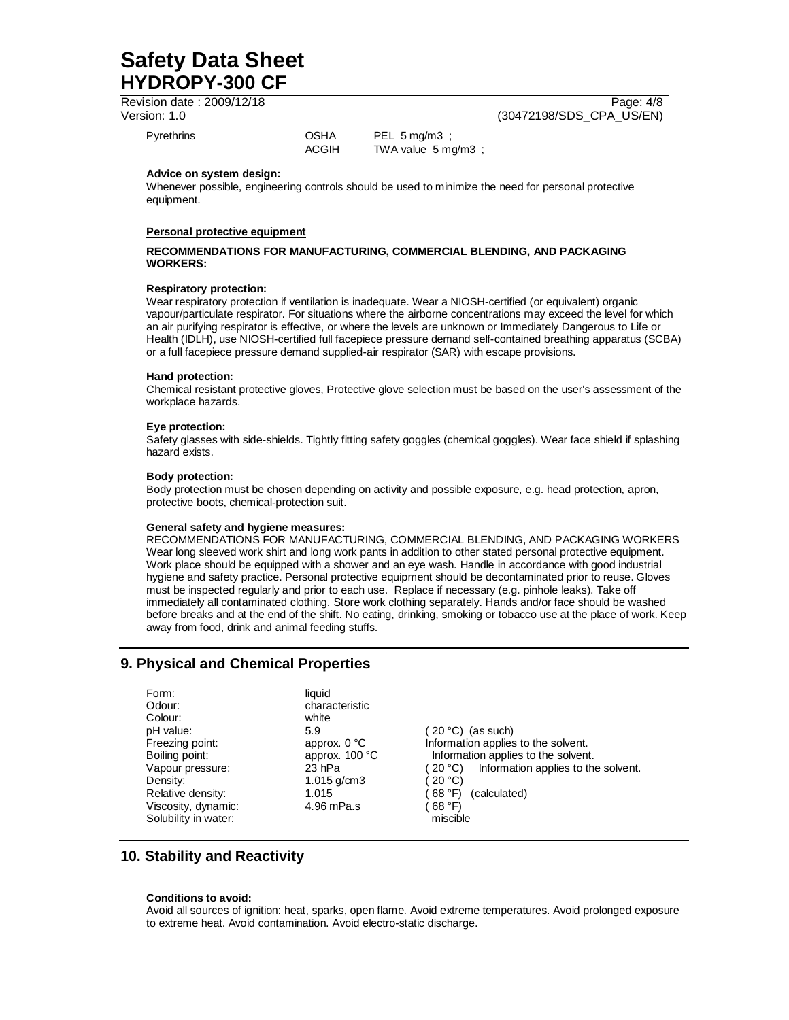Revision date : 2009/12/18 Page: 4/8

Version: 1.0 (30472198/SDS\_CPA\_US/EN)

| Pyrethrins |
|------------|
|------------|

OSHA PEL 5 mg/m3 ;

ACGIH TWA value 5 mg/m3 ;

# **Advice on system design:**

Whenever possible, engineering controls should be used to minimize the need for personal protective equipment.

# **Personal protective equipment**

## **RECOMMENDATIONS FOR MANUFACTURING, COMMERCIAL BLENDING, AND PACKAGING WORKERS:**

# **Respiratory protection:**

Wear respiratory protection if ventilation is inadequate. Wear a NIOSH-certified (or equivalent) organic vapour/particulate respirator. For situations where the airborne concentrations may exceed the level for which an air purifying respirator is effective, or where the levels are unknown or Immediately Dangerous to Life or Health (IDLH), use NIOSH-certified full facepiece pressure demand self-contained breathing apparatus (SCBA) or a full facepiece pressure demand supplied-air respirator (SAR) with escape provisions.

## **Hand protection:**

Chemical resistant protective gloves, Protective glove selection must be based on the user's assessment of the workplace hazards.

## **Eye protection:**

Safety glasses with side-shields. Tightly fitting safety goggles (chemical goggles). Wear face shield if splashing hazard exists.

## **Body protection:**

Body protection must be chosen depending on activity and possible exposure, e.g. head protection, apron, protective boots, chemical-protection suit.

## **General safety and hygiene measures:**

RECOMMENDATIONS FOR MANUFACTURING, COMMERCIAL BLENDING, AND PACKAGING WORKERS Wear long sleeved work shirt and long work pants in addition to other stated personal protective equipment. Work place should be equipped with a shower and an eye wash. Handle in accordance with good industrial hygiene and safety practice. Personal protective equipment should be decontaminated prior to reuse. Gloves must be inspected regularly and prior to each use. Replace if necessary (e.g. pinhole leaks). Take off immediately all contaminated clothing. Store work clothing separately. Hands and/or face should be washed before breaks and at the end of the shift. No eating, drinking, smoking or tobacco use at the place of work. Keep away from food, drink and animal feeding stuffs.

# **9. Physical and Chemical Properties**

| Form:                | liauid               |                                              |
|----------------------|----------------------|----------------------------------------------|
| Odour:               | characteristic       |                                              |
| Colour:              | white                |                                              |
| pH value:            | 5.9                  | (20 °C) (as such)                            |
| Freezing point:      | approx. $0^{\circ}C$ | Information applies to the solvent.          |
| Boiling point:       | approx. $100 °C$     | Information applies to the solvent.          |
| Vapour pressure:     | 23 hPa               | Information applies to the solvent.<br>20 °C |
| Density:             | 1.015 $q/cm3$        | 20 °C                                        |
| Relative density:    | 1.015                | $68 \text{ }^{\circ}$ F)<br>(calculated)     |
| Viscosity, dynamic:  | 4.96 mPa.s           | 68 °F                                        |
| Solubility in water: |                      | miscible                                     |

# **10. Stability and Reactivity**

## **Conditions to avoid:**

Avoid all sources of ignition: heat, sparks, open flame. Avoid extreme temperatures. Avoid prolonged exposure to extreme heat. Avoid contamination. Avoid electro-static discharge.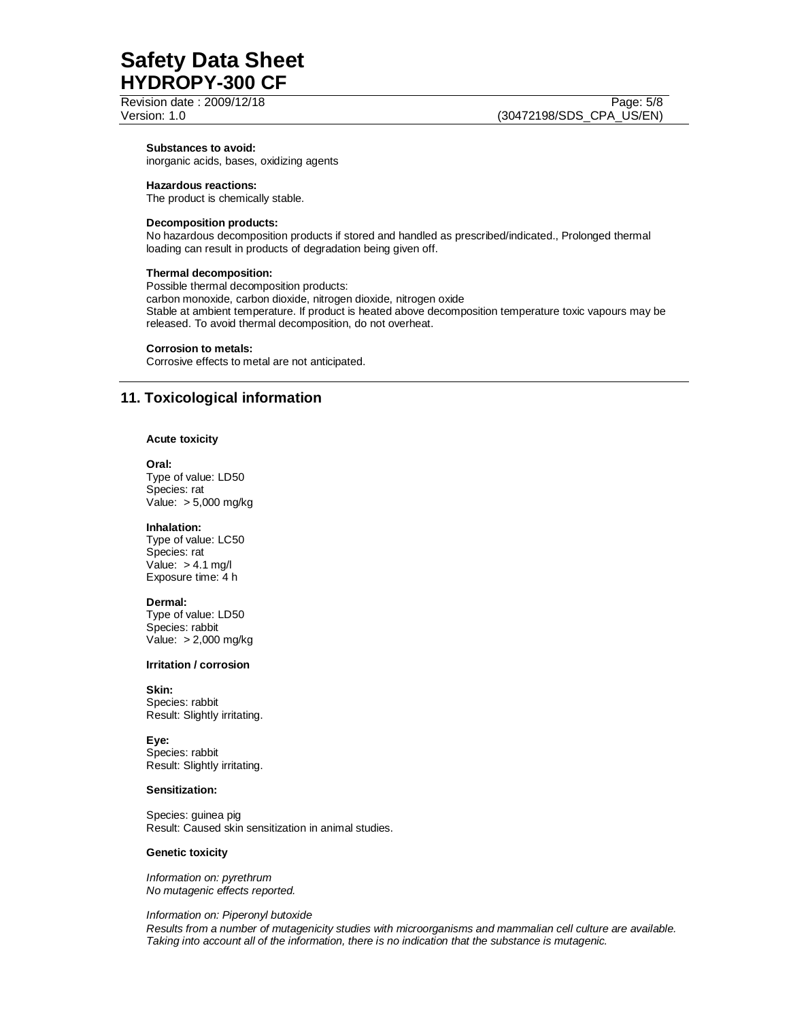Revision date : 2009/12/18 Page: 5/8

## **Substances to avoid:**

inorganic acids, bases, oxidizing agents

#### **Hazardous reactions:**

The product is chemically stable.

### **Decomposition products:**

No hazardous decomposition products if stored and handled as prescribed/indicated., Prolonged thermal loading can result in products of degradation being given off.

#### **Thermal decomposition:**

Possible thermal decomposition products: carbon monoxide, carbon dioxide, nitrogen dioxide, nitrogen oxide Stable at ambient temperature. If product is heated above decomposition temperature toxic vapours may be released. To avoid thermal decomposition, do not overheat.

#### **Corrosion to metals:**

Corrosive effects to metal are not anticipated.

# **11. Toxicological information**

## **Acute toxicity**

**Oral:** Type of value: LD50 Species: rat Value: > 5,000 mg/kg

## **Inhalation:**

Type of value: LC50 Species: rat Value:  $> 4.1$  mg/l Exposure time: 4 h

#### **Dermal:**

Type of value: LD50 Species: rabbit Value: > 2,000 mg/kg

### **Irritation / corrosion**

**Skin:**  Species: rabbit Result: Slightly irritating.

**Eye:** Species: rabbit Result: Slightly irritating.

### **Sensitization:**

Species: guinea pig Result: Caused skin sensitization in animal studies.

#### **Genetic toxicity**

Information on: pyrethrum No mutagenic effects reported.

Information on: Piperonyl butoxide

Results from a number of mutagenicity studies with microorganisms and mammalian cell culture are available. Taking into account all of the information, there is no indication that the substance is mutagenic.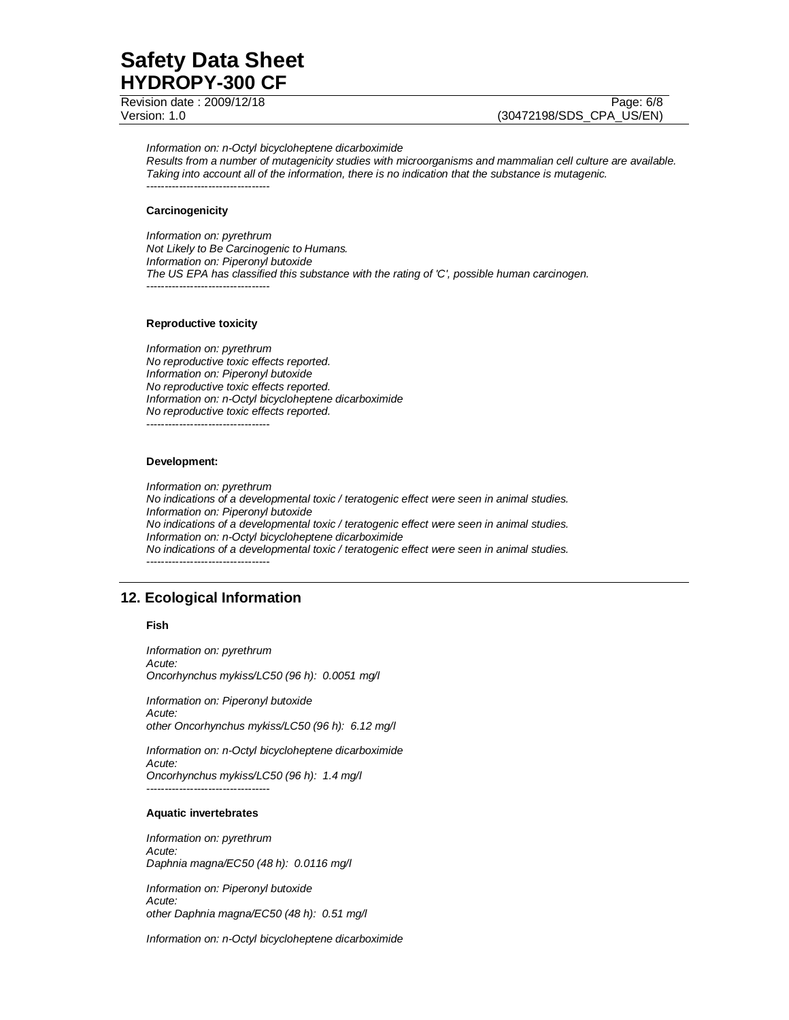Revision date : 2009/12/18 Page: 6/8

Version: 1.0 (30472198/SDS\_CPA\_US/EN)

## Information on: n-Octyl bicycloheptene dicarboximide

Results from a number of mutagenicity studies with microorganisms and mammalian cell culture are available. Taking into account all of the information, there is no indication that the substance is mutagenic. ----------------------------------

## **Carcinogenicity**

Information on: pyrethrum Not Likely to Be Carcinogenic to Humans. Information on: Piperonyl butoxide The US EPA has classified this substance with the rating of 'C', possible human carcinogen. ----------------------------------

### **Reproductive toxicity**

Information on: pyrethrum No reproductive toxic effects reported. Information on: Piperonyl butoxide No reproductive toxic effects reported. Information on: n-Octyl bicycloheptene dicarboximide No reproductive toxic effects reported. ---------------------------------

#### **Development:**

Information on: pyrethrum No indications of a developmental toxic / teratogenic effect were seen in animal studies. Information on: Piperonyl butoxide No indications of a developmental toxic / teratogenic effect were seen in animal studies. Information on: n-Octyl bicycloheptene dicarboximide No indications of a developmental toxic / teratogenic effect were seen in animal studies. ----------------------------------

# **12. Ecological Information**

#### **Fish**

Information on: pyrethrum Acute: Oncorhynchus mykiss/LC50 (96 h): 0.0051 mg/l

Information on: Piperonyl butoxide Acute: other Oncorhynchus mykiss/LC50 (96 h): 6.12 mg/l

Information on: n-Octyl bicycloheptene dicarboximide Acute: Oncorhynchus mykiss/LC50 (96 h): 1.4 mg/l ----------------------------------

## **Aquatic invertebrates**

Information on: pyrethrum Acute: Daphnia magna/EC50 (48 h): 0.0116 mg/l

Information on: Piperonyl butoxide Acute: other Daphnia magna/EC50 (48 h): 0.51 mg/l

Information on: n-Octyl bicycloheptene dicarboximide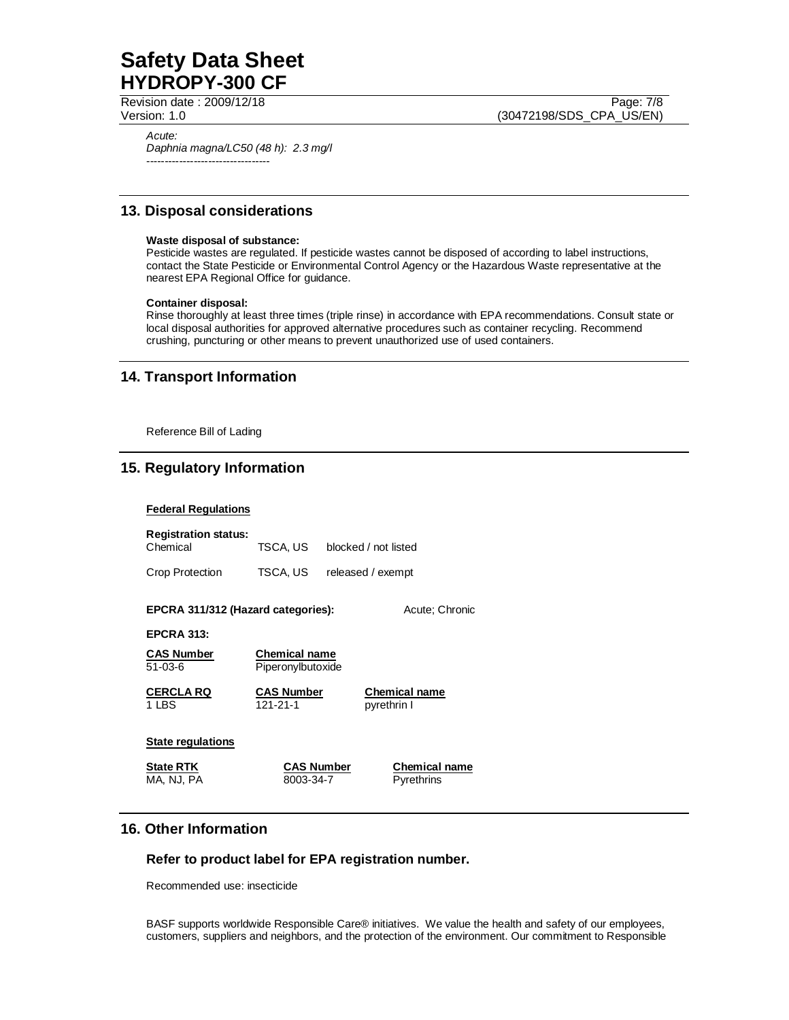Revision date : 2009/12/18 Page: 7/8

Version: 1.0 (30472198/SDS\_CPA\_US/EN)

Acute:

Daphnia magna/LC50 (48 h): 2.3 mg/l ----------------------------------

# **13. Disposal considerations**

## **Waste disposal of substance:**

Pesticide wastes are regulated. If pesticide wastes cannot be disposed of according to label instructions, contact the State Pesticide or Environmental Control Agency or the Hazardous Waste representative at the nearest EPA Regional Office for guidance.

## **Container disposal:**

Rinse thoroughly at least three times (triple rinse) in accordance with EPA recommendations. Consult state or local disposal authorities for approved alternative procedures such as container recycling. Recommend crushing, puncturing or other means to prevent unauthorized use of used containers.

# **14. Transport Information**

Reference Bill of Lading

# **15. Regulatory Information**

## **Federal Regulations**

| <b>Registration status:</b><br>Chemical<br>TSCA. US  |                                           | blocked / not listed |                                     |  |  |  |
|------------------------------------------------------|-------------------------------------------|----------------------|-------------------------------------|--|--|--|
| Crop Protection                                      | TSCA. US                                  | released / exempt    |                                     |  |  |  |
| EPCRA 311/312 (Hazard categories):<br>Acute: Chronic |                                           |                      |                                     |  |  |  |
| <b>EPCRA 313:</b>                                    |                                           |                      |                                     |  |  |  |
| <b>CAS Number</b><br>51-03-6                         | <b>Chemical name</b><br>Piperonylbutoxide |                      |                                     |  |  |  |
| <b>CERCLA RQ</b><br>1 LBS                            | <b>CAS Number</b><br>121-21-1             |                      | <b>Chemical name</b><br>pyrethrin I |  |  |  |
| <b>State regulations</b>                             |                                           |                      |                                     |  |  |  |
| <b>State RTK</b><br>ma, nj, pa                       | <b>CAS Number</b><br>8003-34-7            |                      | <b>Chemical name</b><br>Pyrethrins  |  |  |  |

# **16. Other Information**

# **Refer to product label for EPA registration number.**

Recommended use: insecticide

BASF supports worldwide Responsible Care® initiatives. We value the health and safety of our employees, customers, suppliers and neighbors, and the protection of the environment. Our commitment to Responsible